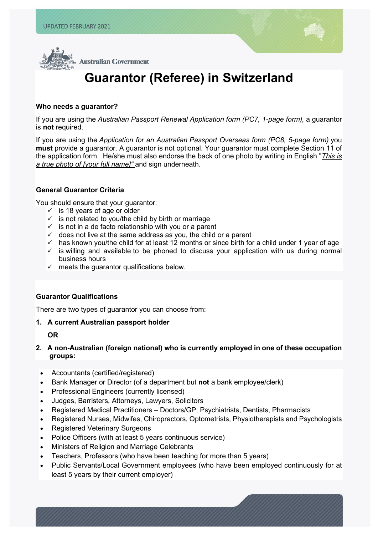l



# **Guarantor (Referee) in Switzerland**

#### **Who needs a guarantor?**

If you are using the *Australian Passport Renewal Application form (PC7, 1-page form),* a guarantor is **not** required.

If you are using the *Application for an Australian Passport Overseas form (PC8, 5-page form)* you **must** provide a guarantor. A guarantor is not optional. Your guarantor must complete Section 11 of the application form. He/she must also endorse the back of one photo by writing in English "*This is a true photo of [your full name]"* and sign underneath.

#### **General Guarantor Criteria**

You should ensure that your guarantor:

- $\checkmark$  is 18 years of age or older
- $\checkmark$  is not related to you/the child by birth or marriage
- $\checkmark$  is not in a de facto relationship with you or a parent
- $\checkmark$  does not live at the same address as you, the child or a parent
- $\checkmark$  has known you/the child for at least 12 months or since birth for a child under 1 year of age
- $\checkmark$  is willing and available to be phoned to discuss your application with us during normal business hours
- $\checkmark$  meets the guarantor qualifications below.

## **Guarantor Qualifications**

There are two types of guarantor you can choose from:

## **1. A current Australian passport holder**

**OR**

## **2. A non-Australian (foreign national) who is currently employed in one of these occupation groups:**

- Accountants (certified/registered)
- Bank Manager or Director (of a department but **not** a bank employee/clerk)
- Professional Engineers (currently licensed)
- Judges, Barristers, Attorneys, Lawyers, Solicitors
- Registered Medical Practitioners Doctors/GP, Psychiatrists, Dentists, Pharmacists
- Registered Nurses, Midwifes, Chiropractors, Optometrists, Physiotherapists and Psychologists
- Registered Veterinary Surgeons
- Police Officers (with at least 5 years continuous service)
- Ministers of Religion and Marriage Celebrants
- Teachers, Professors (who have been teaching for more than 5 years)
- Public Servants/Local Government employees (who have been employed continuously for at least 5 years by their current employer)